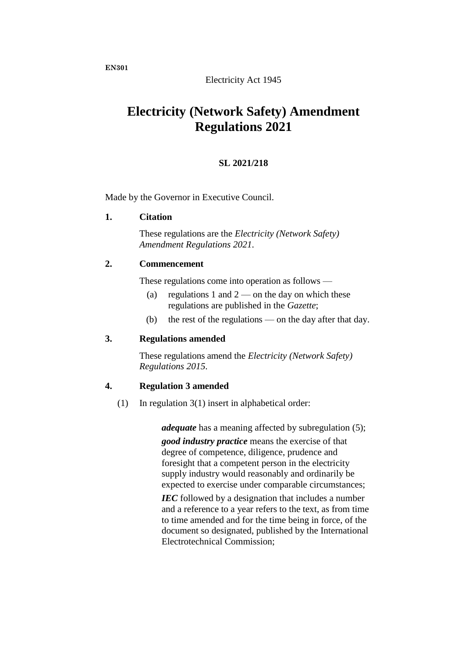## Electricity Act 1945

# **Electricity (Network Safety) Amendment Regulations 2021**

## **SL 2021/218**

Made by the Governor in Executive Council.

## **1. Citation**

These regulations are the *Electricity (Network Safety) Amendment Regulations 2021*.

## **2. Commencement**

These regulations come into operation as follows —

- (a) regulations 1 and  $2$  on the day on which these regulations are published in the *Gazette*;
- (b) the rest of the regulations on the day after that day.

## **3. Regulations amended**

These regulations amend the *Electricity (Network Safety) Regulations 2015*.

## **4. Regulation 3 amended**

(1) In regulation 3(1) insert in alphabetical order:

*adequate* has a meaning affected by subregulation (5);

*good industry practice* means the exercise of that degree of competence, diligence, prudence and foresight that a competent person in the electricity supply industry would reasonably and ordinarily be expected to exercise under comparable circumstances;

*IEC* followed by a designation that includes a number and a reference to a year refers to the text, as from time to time amended and for the time being in force, of the document so designated, published by the International Electrotechnical Commission;

**EN301**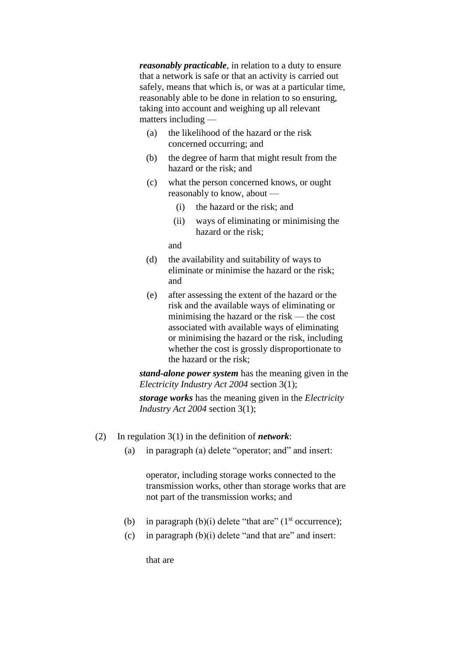*reasonably practicable*, in relation to a duty to ensure that a network is safe or that an activity is carried out safely, means that which is, or was at a particular time, reasonably able to be done in relation to so ensuring, taking into account and weighing up all relevant matters including —

- (a) the likelihood of the hazard or the risk concerned occurring; and
- (b) the degree of harm that might result from the hazard or the risk; and
- (c) what the person concerned knows, or ought reasonably to know, about —
	- (i) the hazard or the risk; and
	- (ii) ways of eliminating or minimising the hazard or the risk;

and

- (d) the availability and suitability of ways to eliminate or minimise the hazard or the risk; and
- (e) after assessing the extent of the hazard or the risk and the available ways of eliminating or minimising the hazard or the risk — the cost associated with available ways of eliminating or minimising the hazard or the risk, including whether the cost is grossly disproportionate to the hazard or the risk;

*stand-alone power system* has the meaning given in the *Electricity Industry Act 2004* section 3(1);

*storage works* has the meaning given in the *Electricity Industry Act 2004* section 3(1);

- (2) In regulation 3(1) in the definition of *network*:
	- (a) in paragraph (a) delete "operator; and" and insert:

operator, including storage works connected to the transmission works, other than storage works that are not part of the transmission works; and

- (b) in paragraph  $(b)(i)$  delete "that are" ( $1<sup>st</sup>$  occurrence);
- (c) in paragraph  $(b)(i)$  delete "and that are" and insert:

that are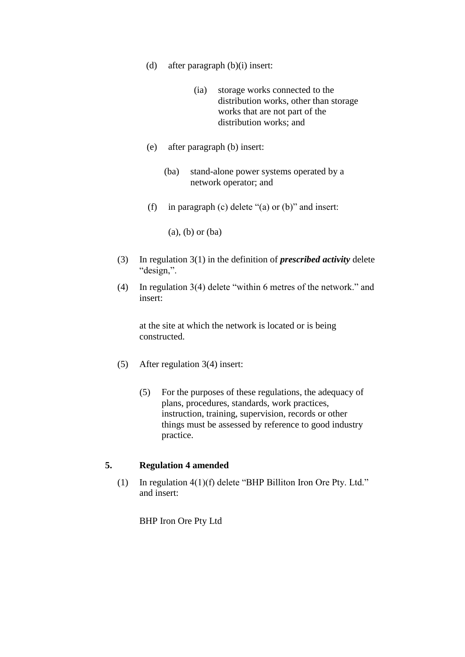- (d) after paragraph (b)(i) insert:
	- (ia) storage works connected to the distribution works, other than storage works that are not part of the distribution works; and
- (e) after paragraph (b) insert:
	- (ba) stand-alone power systems operated by a network operator; and
- (f) in paragraph (c) delete "(a) or (b)" and insert:

(a), (b) or (ba)

- (3) In regulation 3(1) in the definition of *prescribed activity* delete "design,".
- (4) In regulation 3(4) delete "within 6 metres of the network." and insert:

at the site at which the network is located or is being constructed.

- (5) After regulation 3(4) insert:
	- (5) For the purposes of these regulations, the adequacy of plans, procedures, standards, work practices, instruction, training, supervision, records or other things must be assessed by reference to good industry practice.

## **5. Regulation 4 amended**

(1) In regulation 4(1)(f) delete "BHP Billiton Iron Ore Pty. Ltd." and insert:

BHP Iron Ore Pty Ltd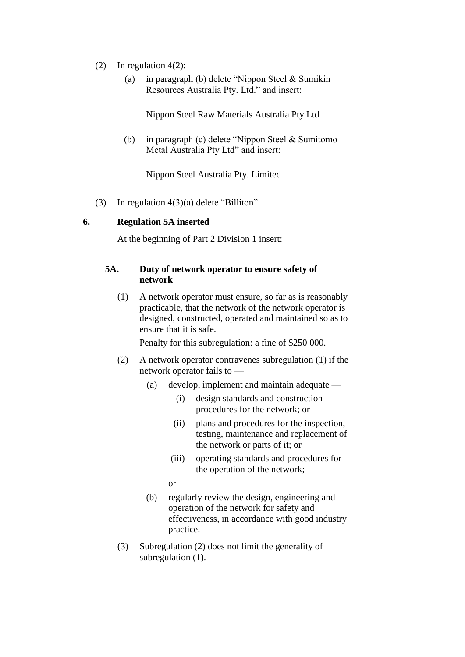- (2) In regulation 4(2):
	- (a) in paragraph (b) delete "Nippon Steel & Sumikin Resources Australia Pty. Ltd." and insert:

Nippon Steel Raw Materials Australia Pty Ltd

(b) in paragraph (c) delete "Nippon Steel & Sumitomo Metal Australia Pty Ltd" and insert:

Nippon Steel Australia Pty. Limited

(3) In regulation 4(3)(a) delete "Billiton".

#### **6. Regulation 5A inserted**

At the beginning of Part 2 Division 1 insert:

## **5A. Duty of network operator to ensure safety of network**

(1) A network operator must ensure, so far as is reasonably practicable, that the network of the network operator is designed, constructed, operated and maintained so as to ensure that it is safe.

Penalty for this subregulation: a fine of \$250 000.

- (2) A network operator contravenes subregulation (1) if the network operator fails to —
	- (a) develop, implement and maintain adequate
		- (i) design standards and construction procedures for the network; or
		- (ii) plans and procedures for the inspection, testing, maintenance and replacement of the network or parts of it; or
		- (iii) operating standards and procedures for the operation of the network;
		- or
	- (b) regularly review the design, engineering and operation of the network for safety and effectiveness, in accordance with good industry practice.
- (3) Subregulation (2) does not limit the generality of subregulation  $(1)$ .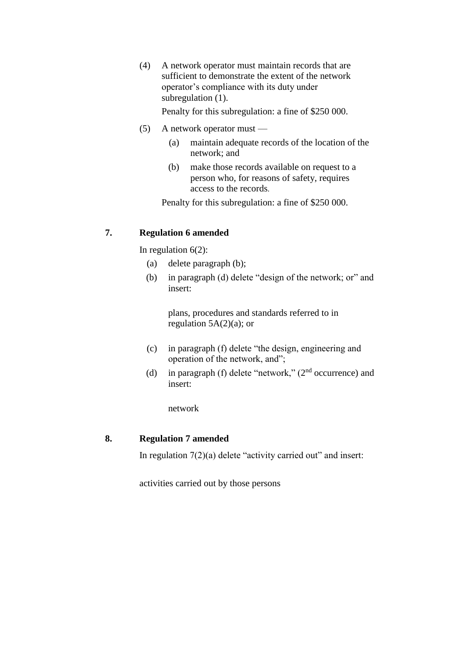(4) A network operator must maintain records that are sufficient to demonstrate the extent of the network operator's compliance with its duty under subregulation (1).

Penalty for this subregulation: a fine of \$250 000.

- (5) A network operator must
	- (a) maintain adequate records of the location of the network; and
	- (b) make those records available on request to a person who, for reasons of safety, requires access to the records.

Penalty for this subregulation: a fine of \$250 000.

## **7. Regulation 6 amended**

In regulation  $6(2)$ :

- (a) delete paragraph (b);
- (b) in paragraph (d) delete "design of the network; or" and insert:

plans, procedures and standards referred to in regulation  $5A(2)(a)$ ; or

- (c) in paragraph (f) delete "the design, engineering and operation of the network, and";
- (d) in paragraph (f) delete "network," (2<sup>nd</sup> occurrence) and insert:

network

#### **8. Regulation 7 amended**

In regulation  $7(2)(a)$  delete "activity carried out" and insert:

activities carried out by those persons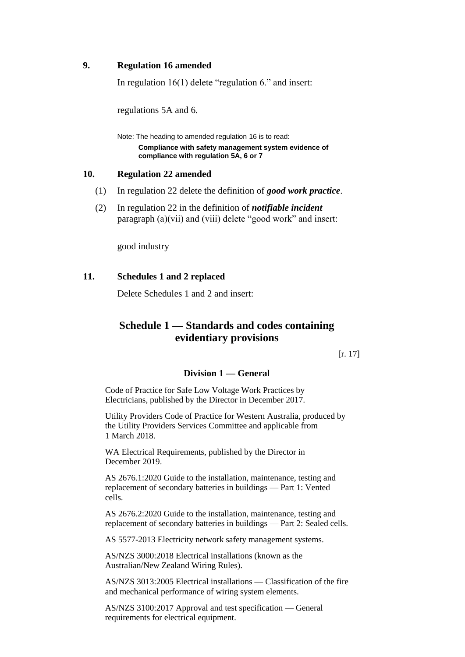## **9. Regulation 16 amended**

In regulation 16(1) delete "regulation 6." and insert:

regulations 5A and 6.

Note: The heading to amended regulation 16 is to read:

**Compliance with safety management system evidence of compliance with regulation 5A, 6 or 7**

#### **10. Regulation 22 amended**

- (1) In regulation 22 delete the definition of *good work practice*.
- (2) In regulation 22 in the definition of *notifiable incident* paragraph (a)(vii) and (viii) delete "good work" and insert:

good industry

## **11. Schedules 1 and 2 replaced**

Delete Schedules 1 and 2 and insert:

## **Schedule 1 — Standards and codes containing evidentiary provisions**

[r. 17]

## **Division 1 — General**

Code of Practice for Safe Low Voltage Work Practices by Electricians, published by the Director in December 2017.

Utility Providers Code of Practice for Western Australia, produced by the Utility Providers Services Committee and applicable from 1 March 2018.

WA Electrical Requirements, published by the Director in December 2019.

AS 2676.1:2020 Guide to the installation, maintenance, testing and replacement of secondary batteries in buildings — Part 1: Vented cells.

AS 2676.2:2020 Guide to the installation, maintenance, testing and replacement of secondary batteries in buildings — Part 2: Sealed cells.

AS 5577-2013 Electricity network safety management systems.

AS/NZS 3000:2018 Electrical installations (known as the Australian/New Zealand Wiring Rules).

AS/NZS 3013:2005 Electrical installations — Classification of the fire and mechanical performance of wiring system elements.

AS/NZS 3100:2017 Approval and test specification — General requirements for electrical equipment.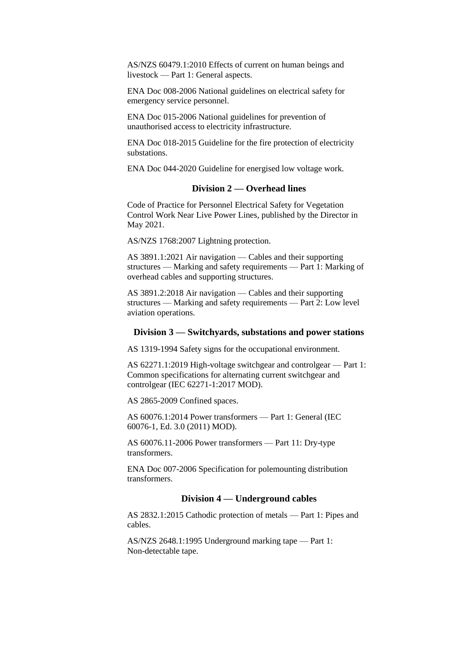AS/NZS 60479.1:2010 Effects of current on human beings and livestock — Part 1: General aspects.

ENA Doc 008-2006 National guidelines on electrical safety for emergency service personnel.

ENA Doc 015-2006 National guidelines for prevention of unauthorised access to electricity infrastructure.

ENA Doc 018-2015 Guideline for the fire protection of electricity substations.

ENA Doc 044-2020 Guideline for energised low voltage work.

#### **Division 2 — Overhead lines**

Code of Practice for Personnel Electrical Safety for Vegetation Control Work Near Live Power Lines, published by the Director in May 2021.

AS/NZS 1768:2007 Lightning protection.

AS 3891.1:2021 Air navigation — Cables and their supporting structures — Marking and safety requirements — Part 1: Marking of overhead cables and supporting structures.

AS 3891.2:2018 Air navigation — Cables and their supporting structures — Marking and safety requirements — Part 2: Low level aviation operations.

#### **Division 3 — Switchyards, substations and power stations**

AS 1319-1994 Safety signs for the occupational environment.

AS 62271.1:2019 High-voltage switchgear and controlgear — Part 1: Common specifications for alternating current switchgear and controlgear (IEC 62271-1:2017 MOD).

AS 2865-2009 Confined spaces.

AS 60076.1:2014 Power transformers — Part 1: General (IEC 60076-1, Ed. 3.0 (2011) MOD).

AS 60076.11-2006 Power transformers — Part 11: Dry-type transformers.

ENA Doc 007-2006 Specification for polemounting distribution transformers.

#### **Division 4 — Underground cables**

AS 2832.1:2015 Cathodic protection of metals — Part 1: Pipes and cables.

AS/NZS 2648.1:1995 Underground marking tape — Part 1: Non-detectable tape.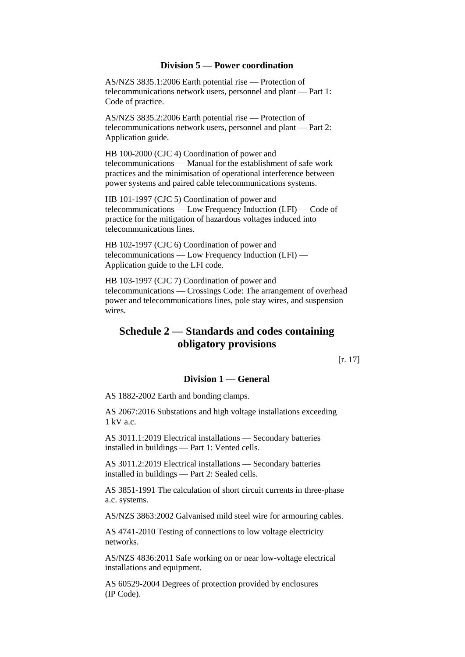#### **Division 5 — Power coordination**

AS/NZS 3835.1:2006 Earth potential rise — Protection of telecommunications network users, personnel and plant — Part 1: Code of practice.

AS/NZS 3835.2:2006 Earth potential rise — Protection of telecommunications network users, personnel and plant — Part 2: Application guide.

HB 100-2000 (CJC 4) Coordination of power and telecommunications — Manual for the establishment of safe work practices and the minimisation of operational interference between power systems and paired cable telecommunications systems.

HB 101-1997 (CJC 5) Coordination of power and telecommunications — Low Frequency Induction (LFI) — Code of practice for the mitigation of hazardous voltages induced into telecommunications lines.

HB 102-1997 (CJC 6) Coordination of power and telecommunications — Low Frequency Induction (LFI) — Application guide to the LFI code.

HB 103-1997 (CJC 7) Coordination of power and telecommunications — Crossings Code: The arrangement of overhead power and telecommunications lines, pole stay wires, and suspension wires.

## **Schedule 2 — Standards and codes containing obligatory provisions**

[r. 17]

#### **Division 1 — General**

AS 1882-2002 Earth and bonding clamps.

AS 2067:2016 Substations and high voltage installations exceeding 1 kV a.c.

AS 3011.1:2019 Electrical installations — Secondary batteries installed in buildings — Part 1: Vented cells.

AS 3011.2:2019 Electrical installations — Secondary batteries installed in buildings — Part 2: Sealed cells.

AS 3851-1991 The calculation of short circuit currents in three-phase a.c. systems.

AS/NZS 3863:2002 Galvanised mild steel wire for armouring cables.

AS 4741-2010 Testing of connections to low voltage electricity networks.

AS/NZS 4836:2011 Safe working on or near low-voltage electrical installations and equipment.

AS 60529-2004 Degrees of protection provided by enclosures (IP Code).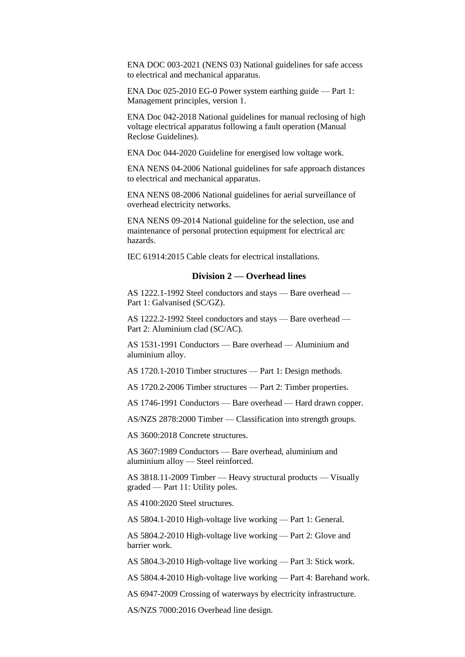ENA DOC 003-2021 (NENS 03) National guidelines for safe access to electrical and mechanical apparatus.

ENA Doc 025-2010 EG-0 Power system earthing guide — Part 1: Management principles, version 1.

ENA Doc 042-2018 National guidelines for manual reclosing of high voltage electrical apparatus following a fault operation (Manual Reclose Guidelines).

ENA Doc 044-2020 Guideline for energised low voltage work.

ENA NENS 04-2006 National guidelines for safe approach distances to electrical and mechanical apparatus.

ENA NENS 08-2006 National guidelines for aerial surveillance of overhead electricity networks.

ENA NENS 09-2014 National guideline for the selection, use and maintenance of personal protection equipment for electrical arc hazards.

IEC 61914:2015 Cable cleats for electrical installations.

#### **Division 2 — Overhead lines**

AS 1222.1-1992 Steel conductors and stays — Bare overhead — Part 1: Galvanised (SC/GZ).

AS 1222.2-1992 Steel conductors and stays — Bare overhead — Part 2: Aluminium clad (SC/AC).

AS 1531-1991 Conductors — Bare overhead — Aluminium and aluminium alloy.

AS 1720.1-2010 Timber structures — Part 1: Design methods.

AS 1720.2-2006 Timber structures — Part 2: Timber properties.

AS 1746-1991 Conductors — Bare overhead — Hard drawn copper.

AS/NZS 2878:2000 Timber — Classification into strength groups.

AS 3600:2018 Concrete structures.

AS 3607:1989 Conductors — Bare overhead, aluminium and aluminium alloy — Steel reinforced.

AS 3818.11-2009 Timber — Heavy structural products — Visually graded — Part 11: Utility poles.

AS 4100:2020 Steel structures.

AS 5804.1-2010 High-voltage live working — Part 1: General.

AS 5804.2-2010 High-voltage live working — Part 2: Glove and barrier work.

AS 5804.3-2010 High-voltage live working — Part 3: Stick work.

AS 5804.4-2010 High-voltage live working — Part 4: Barehand work.

AS 6947-2009 Crossing of waterways by electricity infrastructure.

AS/NZS 7000:2016 Overhead line design.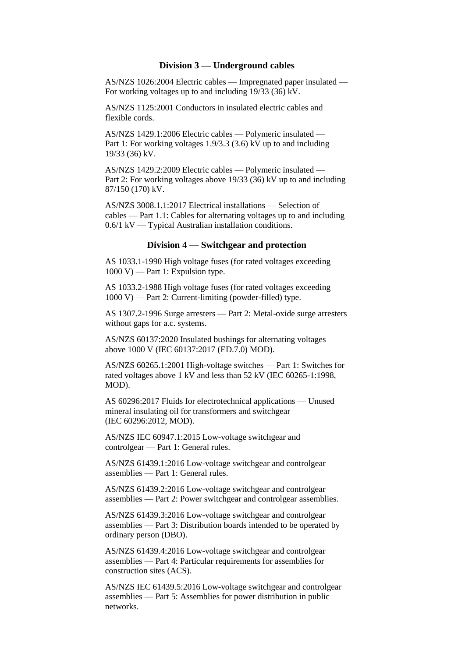#### **Division 3 — Underground cables**

AS/NZS 1026:2004 Electric cables — Impregnated paper insulated — For working voltages up to and including 19/33 (36) kV.

AS/NZS 1125:2001 Conductors in insulated electric cables and flexible cords.

AS/NZS 1429.1:2006 Electric cables — Polymeric insulated — Part 1: For working voltages 1.9/3.3 (3.6) kV up to and including 19/33 (36) kV.

AS/NZS 1429.2:2009 Electric cables — Polymeric insulated — Part 2: For working voltages above 19/33 (36) kV up to and including 87/150 (170) kV.

AS/NZS 3008.1.1:2017 Electrical installations — Selection of cables — Part 1.1: Cables for alternating voltages up to and including 0.6/1 kV — Typical Australian installation conditions.

#### **Division 4 — Switchgear and protection**

AS 1033.1-1990 High voltage fuses (for rated voltages exceeding  $1000 V$ ) — Part 1: Expulsion type.

AS 1033.2-1988 High voltage fuses (for rated voltages exceeding  $1000 V$ ) — Part 2: Current-limiting (powder-filled) type.

AS 1307.2-1996 Surge arresters — Part 2: Metal-oxide surge arresters without gaps for a.c. systems.

AS/NZS 60137:2020 Insulated bushings for alternating voltages above 1000 V (IEC 60137:2017 (ED.7.0) MOD).

AS/NZS 60265.1:2001 High-voltage switches — Part 1: Switches for rated voltages above 1 kV and less than 52 kV (IEC 60265-1:1998, MOD).

AS 60296:2017 Fluids for electrotechnical applications — Unused mineral insulating oil for transformers and switchgear (IEC 60296:2012, MOD).

AS/NZS IEC 60947.1:2015 Low-voltage switchgear and controlgear — Part 1: General rules.

AS/NZS 61439.1:2016 Low-voltage switchgear and controlgear assemblies — Part 1: General rules.

AS/NZS 61439.2:2016 Low-voltage switchgear and controlgear assemblies — Part 2: Power switchgear and controlgear assemblies.

AS/NZS 61439.3:2016 Low-voltage switchgear and controlgear assemblies — Part 3: Distribution boards intended to be operated by ordinary person (DBO).

AS/NZS 61439.4:2016 Low-voltage switchgear and controlgear assemblies — Part 4: Particular requirements for assemblies for construction sites (ACS).

AS/NZS IEC 61439.5:2016 Low-voltage switchgear and controlgear assemblies — Part 5: Assemblies for power distribution in public networks.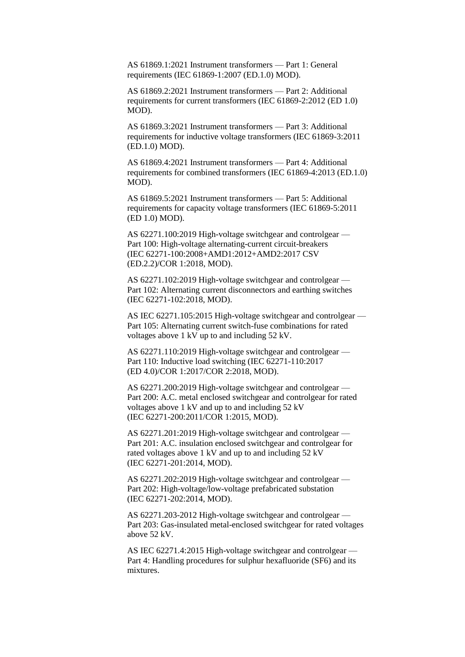AS 61869.1:2021 Instrument transformers — Part 1: General requirements (IEC 61869-1:2007 (ED.1.0) MOD).

AS 61869.2:2021 Instrument transformers — Part 2: Additional requirements for current transformers (IEC 61869-2:2012 (ED 1.0) MOD).

AS 61869.3:2021 Instrument transformers — Part 3: Additional requirements for inductive voltage transformers (IEC 61869-3:2011 (ED.1.0) MOD).

AS 61869.4:2021 Instrument transformers — Part 4: Additional requirements for combined transformers (IEC 61869-4:2013 (ED.1.0) MOD).

AS 61869.5:2021 Instrument transformers — Part 5: Additional requirements for capacity voltage transformers (IEC 61869-5:2011 (ED 1.0) MOD).

AS 62271.100:2019 High-voltage switchgear and controlgear — Part 100: High-voltage alternating-current circuit-breakers (IEC 62271-100:2008+AMD1:2012+AMD2:2017 CSV (ED.2.2)/COR 1:2018, MOD).

AS 62271.102:2019 High-voltage switchgear and controlgear — Part 102: Alternating current disconnectors and earthing switches (IEC 62271-102:2018, MOD).

AS IEC 62271.105:2015 High-voltage switchgear and controlgear — Part 105: Alternating current switch-fuse combinations for rated voltages above 1 kV up to and including 52 kV.

AS 62271.110:2019 High-voltage switchgear and controlgear — Part 110: Inductive load switching (IEC 62271-110:2017 (ED 4.0)/COR 1:2017/COR 2:2018, MOD).

AS 62271.200:2019 High-voltage switchgear and controlgear — Part 200: A.C. metal enclosed switchgear and controlgear for rated voltages above 1 kV and up to and including 52 kV (IEC 62271-200:2011/COR 1:2015, MOD).

AS 62271.201:2019 High-voltage switchgear and controlgear — Part 201: A.C. insulation enclosed switchgear and controlgear for rated voltages above 1 kV and up to and including 52 kV (IEC 62271-201:2014, MOD).

AS 62271.202:2019 High-voltage switchgear and controlgear — Part 202: High-voltage/low-voltage prefabricated substation (IEC 62271-202:2014, MOD).

AS 62271.203-2012 High-voltage switchgear and controlgear — Part 203: Gas-insulated metal-enclosed switchgear for rated voltages above 52 kV.

AS IEC 62271.4:2015 High-voltage switchgear and controlgear — Part 4: Handling procedures for sulphur hexafluoride (SF6) and its mixtures.